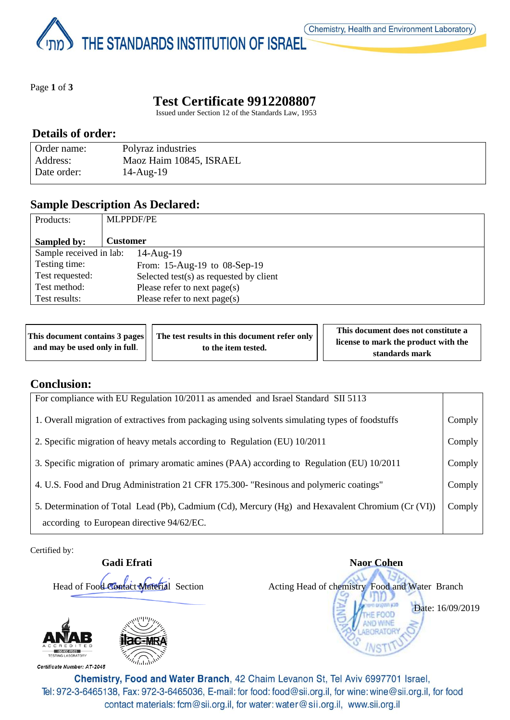THE STANDARDS INSTITUTION OF ISRAEL

Page **1** of **3**

# **Test Certificate 9912208807**

Issued under Section 12 of the Standards Law, 1953

#### **Details of order:**

| Order name: | Polyraz industries      |
|-------------|-------------------------|
| Address:    | Maoz Haim 10845, ISRAEL |
| Date order: | $14$ -Aug- $19$         |

#### **Sample Description As Declared:**

| Products:               | <b>MLPPDF/PE</b>                           |
|-------------------------|--------------------------------------------|
| Sampled by:             | <b>Customer</b>                            |
| Sample received in lab: | $14$ -Aug- $19$                            |
| Testing time:           | From: 15-Aug-19 to 08-Sep-19               |
| Test requested:         | Selected test $(s)$ as requested by client |
| Test method:            | Please refer to next page(s)               |
| Test results:           | Please refer to next page(s)               |

|                               |                     | This document contains 3 pages     The test results in this document refer only |  | This document does not constitute a |
|-------------------------------|---------------------|---------------------------------------------------------------------------------|--|-------------------------------------|
| and may be used only in full. | to the item tested. | license to mark the product with the                                            |  |                                     |
|                               |                     |                                                                                 |  | standards mark                      |

#### **Conclusion:**

| For compliance with EU Regulation 10/2011 as amended and Israel Standard SII 5113                                                              |        |
|------------------------------------------------------------------------------------------------------------------------------------------------|--------|
| 1. Overall migration of extractives from packaging using solvents simulating types of foodstuffs                                               | Comply |
| 2. Specific migration of heavy metals according to Regulation (EU) 10/2011                                                                     | Comply |
| 3. Specific migration of primary aromatic amines (PAA) according to Regulation (EU) 10/2011                                                    | Comply |
| 4. U.S. Food and Drug Administration 21 CFR 175.300- "Resinous and polymeric coatings"                                                         | Comply |
| 5. Determination of Total Lead (Pb), Cadmium (Cd), Mercury (Hg) and Hexavalent Chromium (Cr (VI))<br>according to European directive 94/62/EC. | Comply |

Certified by:



**Gadi Efrati** Naor Cohen Head of Food Contact Material Section Acting Head of chemistry Food and Water Branch Date: 16/09/2019FOOD

Chemistry, Food and Water Branch, 42 Chaim Levanon St, Tel Aviv 6997701 Israel, Tel: 972-3-6465138, Fax: 972-3-6465036, E-mail: for food: food@sii.org.il, for wine: wine@sii.org.il, for food contact materials: fcm@sii.org.il, for water: water@sii.org.il, www.sii.org.il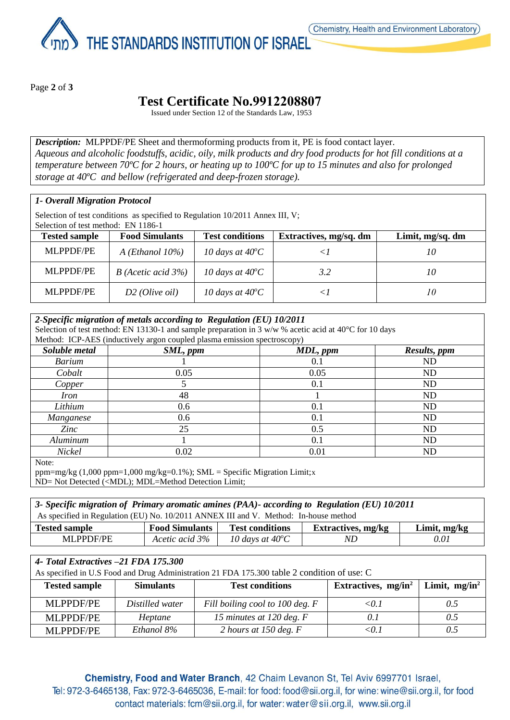THE STANDARDS INSTITUTION OF ISRAEL

Page **2** of **3**

## **Test Certificate No.9912208807**

Issued under Section 12 of the Standards Law, 1953

*Description:* MLPPDF/PE Sheet and thermoforming products from it, PE is food contact layer. *Aqueous and alcoholic foodstuffs, acidic, oily, milk products and dry food products for hot fill conditions at a temperature between 70ºC for 2 hours, or heating up to 100ºC for up to 15 minutes and also for prolonged storage at 40ºC and bellow (refrigerated and deep-frozen storage).*

#### *1- Overall Migration Protocol*

Selection of test conditions as specified to Regulation 10/2011 Annex III, V;

Selection of test method: EN 1186-1

| <b>Tested sample</b> | <b>Food Simulants</b>     | <b>Test conditions</b>    | Extractives, mg/sq. dm | Limit, mg/sq. dm |
|----------------------|---------------------------|---------------------------|------------------------|------------------|
| <b>MLPPDF/PE</b>     | $A$ ( <i>Ethanol</i> 10%) | 10 days at $40^{\circ}$ C |                        | 10               |
| MLPPDF/PE            | $B$ (Acetic acid 3%)      | 10 days at $40^{\circ}$ C | 3.2                    | 10               |
| MLPPDF/PE            | $D2$ (Olive oil)          | 10 days at $40^{\circ}$ C |                        | 10               |

| 2-Specific migration of metals according to Regulation (EU) 10/2011                                    |                                                                          |          |              |  |  |
|--------------------------------------------------------------------------------------------------------|--------------------------------------------------------------------------|----------|--------------|--|--|
| Selection of test method: EN 13130-1 and sample preparation in 3 w/w % acetic acid at 40°C for 10 days |                                                                          |          |              |  |  |
|                                                                                                        | Method: ICP-AES (inductively argon coupled plasma emission spectroscopy) |          |              |  |  |
| Soluble metal                                                                                          | SML, ppm                                                                 | MDL, ppm | Results, ppm |  |  |
| <b>Barium</b>                                                                                          |                                                                          | 0.1      | ND           |  |  |
| Cobalt                                                                                                 | 0.05                                                                     | 0.05     | ND           |  |  |
| Copper                                                                                                 |                                                                          | 0.1      | ND           |  |  |
| Iron                                                                                                   | 48                                                                       |          | ND           |  |  |
| Lithium                                                                                                | 0.6                                                                      | 0.1      | ND           |  |  |
| Manganese                                                                                              | 0.6                                                                      | 0.1      | <b>ND</b>    |  |  |
| Zinc                                                                                                   | 25                                                                       | 0.5      | ND           |  |  |
| Aluminum                                                                                               |                                                                          | 0.1      | <b>ND</b>    |  |  |
| Nickel                                                                                                 | 0.02                                                                     | 0.01     | ND           |  |  |

ppm=mg/kg  $(1,000 \text{ ppm}=1,000 \text{ mg/kg}=0.1\%)$ ; SML = Specific Migration Limit;x ND= Not Detected (<MDL); MDL=Method Detection Limit;

| 3- Specific migration of Primary aromatic amines (PAA)- according to Regulation (EU) 10/2011 |                       |                           |                    |              |  |
|----------------------------------------------------------------------------------------------|-----------------------|---------------------------|--------------------|--------------|--|
| As specified in Regulation (EU) No. 10/2011 ANNEX III and V. Method: In-house method         |                       |                           |                    |              |  |
| <b>Tested sample</b>                                                                         | <b>Food Simulants</b> | <b>Test conditions</b>    | Extractives, mg/kg | Limit, mg/kg |  |
| MLPPDF/PE                                                                                    | Acetic acid 3%        | 10 days at $40^{\circ}$ C | ND.                | 0.01         |  |

| 4- Total Extractives -21 FDA 175.300<br>As specified in U.S Food and Drug Administration 21 FDA 175.300 table 2 condition of use: C |                  |                                 |                        |                  |  |  |
|-------------------------------------------------------------------------------------------------------------------------------------|------------------|---------------------------------|------------------------|------------------|--|--|
| <b>Tested sample</b>                                                                                                                | <b>Simulants</b> | <b>Test conditions</b>          | Extractives, $mg/in^2$ | Limit, $mg/in^2$ |  |  |
| <b>MLPPDF/PE</b>                                                                                                                    | Distilled water  | Fill boiling cool to 100 deg. F | < 0.1                  | 0.5              |  |  |
| <b>MLPPDF/PE</b>                                                                                                                    | Heptane          | 15 minutes at 120 deg. F        | 0.1                    | 0.5              |  |  |
| <b>MLPPDF/PE</b>                                                                                                                    | Ethanol 8%       | 2 hours at 150 deg. $F$         | <0.1                   |                  |  |  |

Chemistry, Food and Water Branch, 42 Chaim Levanon St, Tel Aviv 6997701 Israel, Tel: 972-3-6465138, Fax: 972-3-6465036, E-mail: for food: food@sii.org.il, for wine: wine@sii.org.il, for food contact materials: fcm@sii.org.il, for water: water@sii.org.il, www.sii.org.il